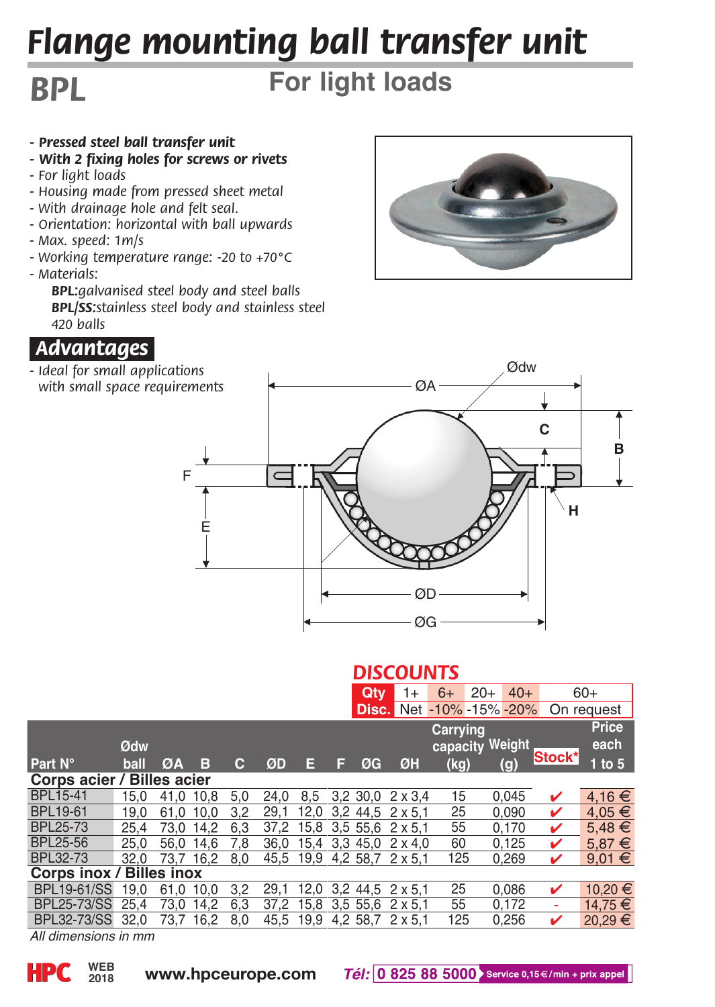# *Flange mounting ball transfer unit*

## *BPL*

## **For light loads**

- *Pressed steel ball transfer unit*
- *With 2 fixing holes for screws or rivets*
- *For light loads*
- *Housing made from pressed sheet metal*
- *With drainage hole and felt seal.*
- *Orientation: horizontal with ball upwards*
- *Max. speed: 1m/s*
- *Working temperature range: -20 to +70°C - Materials:*
	- *BPL:galvanised steel body and steel balls BPL/SS:stainless steel body and stainless steel 420 balls*



*- Ideal for small applications with small space requirements*





#### *DISCOUNTS*

|                            |      |           |           |     |           |      |     | Qtv      | 1+                        | $6+$     | $20+$                           | $40+$  | $60+$       |  |
|----------------------------|------|-----------|-----------|-----|-----------|------|-----|----------|---------------------------|----------|---------------------------------|--------|-------------|--|
|                            |      |           |           |     |           |      |     |          |                           |          | <b>Disc.</b> Net -10% -15% -20% |        | On request  |  |
|                            |      |           |           |     |           |      |     |          |                           | Carrying |                                 |        | Price       |  |
|                            | Ødw  |           |           |     |           |      |     |          |                           |          | capacity Weight                 |        | each        |  |
| <b>Part N°</b>             | ball | ØA        | в         | с   | ØD        | Е    | F   | ØG       | ØH                        | (kq)     | (g)                             | Stock* | $1$ to $5$  |  |
| Corps acier / Billes acier |      |           |           |     |           |      |     |          |                           |          |                                 |        |             |  |
| <b>BPL15-41</b>            | 15.0 | 41.0 10.8 |           | 5.0 | 24.0      | 8.5  |     | 3.2 30.0 | $2 \times 3.4$            | 15       | 0.045                           | ✓      | 4,16€       |  |
| <b>BPL19-61</b>            | 19.0 | 61.0      | 10.0      | 3.2 | 29.1      | 12.0 | 3.2 | 44.5     | $2 \times 5.1$            | 25       | 0.090                           | v      | $4.05 \in$  |  |
| <b>BPL25-73</b>            | 25.4 | 73.0      | 14.2      | 6.3 | 37.2      | 15.8 |     |          | $3.5$ 55.6 $2 \times 5.1$ | 55       | 0.170                           | ✓      | $5.48 \in$  |  |
| BPL25-56                   | 25.0 | 56.0      | 14.6      | 7.8 | 36.0      | 15.4 |     | 3.3 45.0 | $2 \times 4.0$            | 60       | 0.125                           | ✓      | $5.87 \in$  |  |
| <b>BPL32-73</b>            | 32.0 |           | 73.7 16.2 | 8.0 | 45.5 19.9 |      |     |          | 4,2 58,7 2 x 5,1          | 125      | 0.269                           | v      | $9.01 \in$  |  |
| Corps inox / Billes inox   |      |           |           |     |           |      |     |          |                           |          |                                 |        |             |  |
| <b>BPL19-61/SS</b>         | 19.0 | 61.0 10.0 |           | 3.2 | 29.1      | 12.0 |     | 3.2 44.5 | $2 \times 5.1$            | 25       | 0.086                           | ✓      | 10.20 €     |  |
| <b>BPL25-73/SS</b>         | 25.4 | 73.0      | 14.2      | 6.3 | 37.2      | 15.8 |     | 3.5 55.6 | $2 \times 5.1$            | 55       | 0.172                           | ۰      | 14.75 €     |  |
| <b>BPL32-73/SS</b>         | 32.0 | 73.7      | 16.2      | 8.0 | 45.5      | 19.9 |     | 4.2 58.7 | $2 \times 5.1$            | 125      | 0.256                           | ✓      | $20,29 \in$ |  |
|                            |      |           |           |     |           |      |     |          |                           |          |                                 |        |             |  |

*All dimensions in mm*